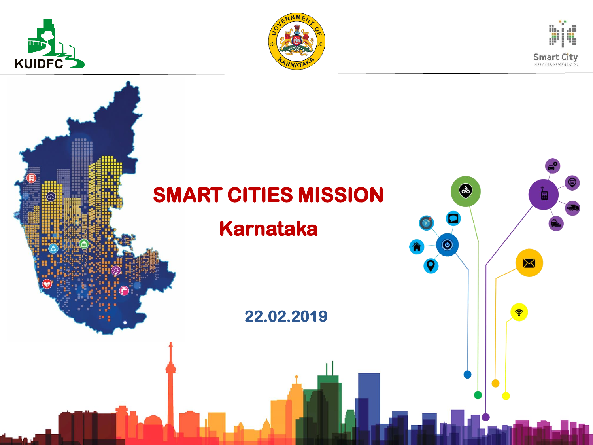





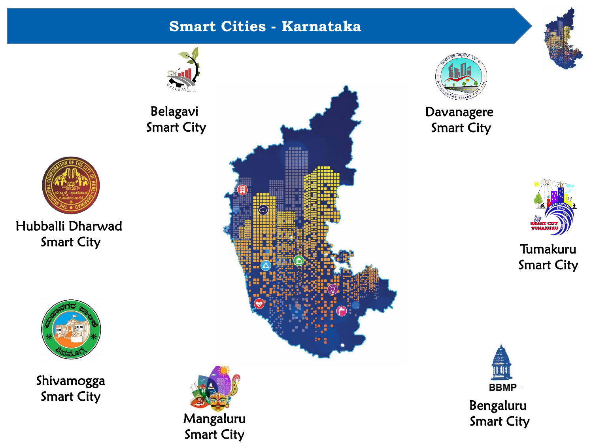#### **Smart Cities - Karnataka**





#### Davanagere Smart City



## Tumakuru Smart City



Bengaluru Smart City





Hubballi Dharwad Smart City



Shivamogga Smart City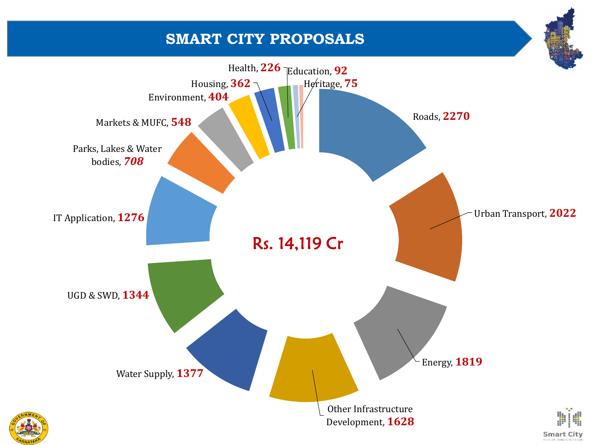## **SMART CITY PROPOSALS**

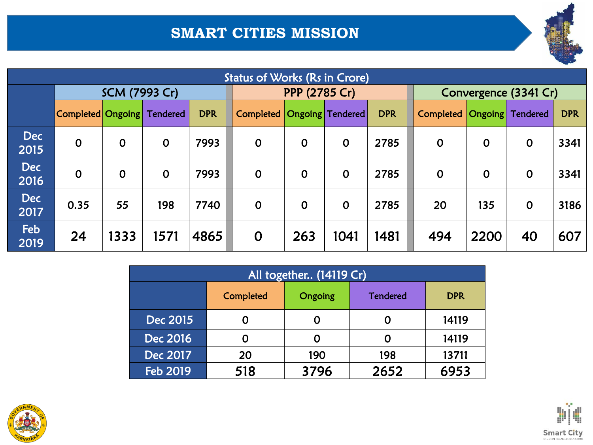# **SMART CITIES MISSION**

| <b>Status of Works (Rs in Crore)</b> |                   |             |                 |            |                                |             |             |            |                       |             |                 |            |
|--------------------------------------|-------------------|-------------|-----------------|------------|--------------------------------|-------------|-------------|------------|-----------------------|-------------|-----------------|------------|
|                                      | SCM (7993 Cr)     |             |                 |            | PPP (2785 Cr)                  |             |             |            | Convergence (3341 Cr) |             |                 |            |
|                                      | Completed Ongoing |             | <b>Tendered</b> | <b>DPR</b> | Completed   Ongoing   Tendered |             |             | <b>DPR</b> | Completed             | Ongoing     | <b>Tendered</b> | <b>DPR</b> |
| <b>Dec</b><br>2015                   | $\mathbf 0$       | $\mathbf 0$ | $\mathbf 0$     | 7993       | $\mathbf 0$                    | $\mathbf 0$ | $\mathbf 0$ | 2785       | $\mathbf 0$           | $\mathbf 0$ | $\mathbf 0$     | 3341       |
| <b>Dec</b><br>2016                   | $\mathbf 0$       | $\mathbf 0$ | $\mathbf 0$     | 7993       | $\mathbf 0$                    | $\mathbf 0$ | $\mathbf 0$ | 2785       | $\mathbf 0$           | $\mathbf 0$ | $\mathbf 0$     | 3341       |
| <b>Dec</b><br>2017                   | 0.35              | 55          | 198             | 7740       | $\mathbf 0$                    | $\mathbf 0$ | $\mathbf 0$ | 2785       | 20                    | 135         | $\mathbf 0$     | 3186       |
| Feb<br>2019                          | 24                | 1333        | 1571            | 4865       | $\mathbf 0$                    | 263         | 1041        | 1481       | 494                   | 2200        | 40              | 607        |

| All together (14119 Cr) |           |         |                 |            |  |  |  |  |  |  |
|-------------------------|-----------|---------|-----------------|------------|--|--|--|--|--|--|
|                         | Completed | Ongoing | <b>Tendered</b> | <b>DPR</b> |  |  |  |  |  |  |
| Dec 2015                | O         |         | 0               | 14119      |  |  |  |  |  |  |
| Dec 2016                | O         |         | 0               | 14119      |  |  |  |  |  |  |
| Dec 2017                | 20        | 190     | 198             | 13711      |  |  |  |  |  |  |
| Feb 2019                | 518       | 3796    | 2652            | 6953       |  |  |  |  |  |  |